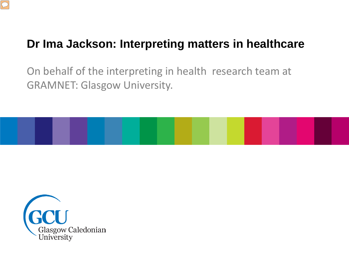

#### **Dr Ima Jackson: Interpreting matters in healthcare**

On behalf of the interpreting in health research team at GRAMNET: Glasgow University.



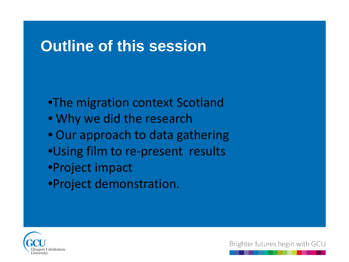#### **Outline of this session**

•The migration context Scotland • Why we did the research • Our approach to data gathering •Using film to re-present results •Project impact •Project demonstration.

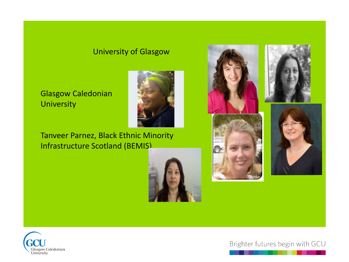#### University of Glasgow

#### Glasgow Caledonian **University**

Tanveer Parnez, Black Ethnic Minority Infrastructure Scotland (BEMIS).





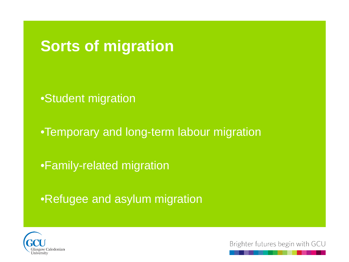**Sorts of migration**

•Student migration

•Temporary and long-term labour migration

•Family-related migration

•Refugee and asylum migration

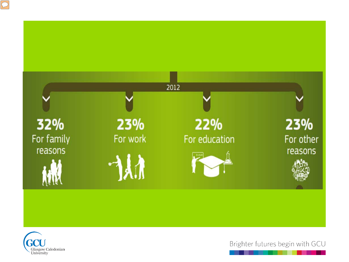



 $\boxed{\bigcirc}$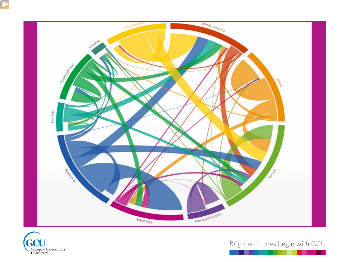



 $\boxed{\bigcirc}$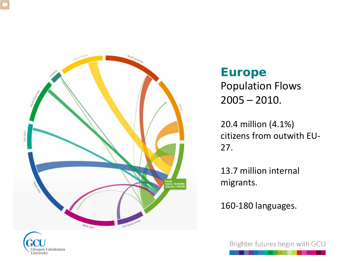



Glasgow Caledonian University

**Europe**  Population Flows  $2005 - 2010.$ 

20.4 million (4.1%) citizens from outwith EU-27.

13.7 million internal migrants.

160-180 languages.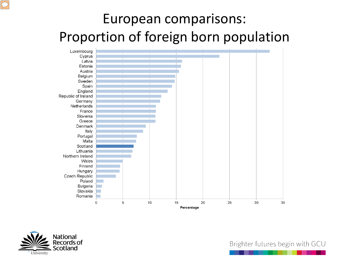## European comparisons: Proportion of foreign born population



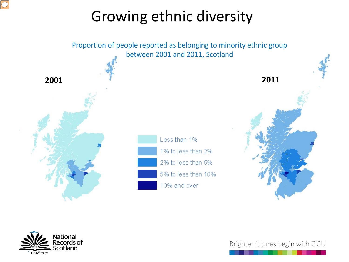# Growing ethnic diversity



National ecords of cotland University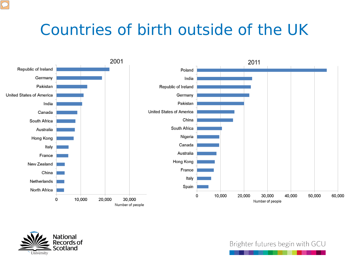#### Countries of birth outside of the UK



![](_page_9_Picture_2.jpeg)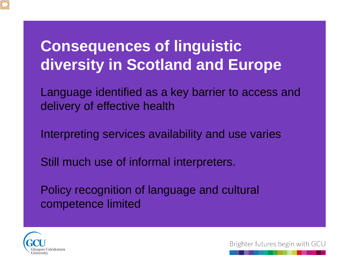#### **Consequences of linguistic diversity in Scotland and Europe**

Language identified as a key barrier to access and delivery of effective health

Interpreting services availability and use varies

Still much use of informal interpreters.

Policy recognition of language and cultural competence limited

![](_page_10_Picture_5.jpeg)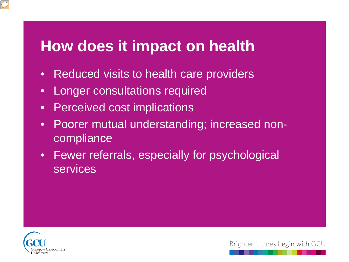#### **How does it impact on health**

- Reduced visits to health care providers
- Longer consultations required
- Perceived cost implications
- Poorer mutual understanding; increased noncompliance
- Fewer referrals, especially for psychological services

![](_page_11_Picture_6.jpeg)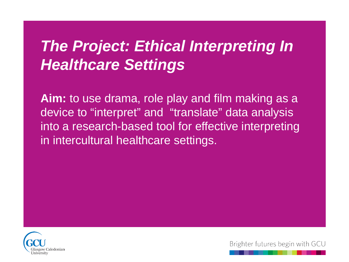## *The Project: Ethical Interpreting In Healthcare Settings*

Aim: to use drama, role play and film making as a device to "interpret" and "translate" data analysis into a research-based tool for effective interpreting in intercultural healthcare settings.

![](_page_12_Picture_2.jpeg)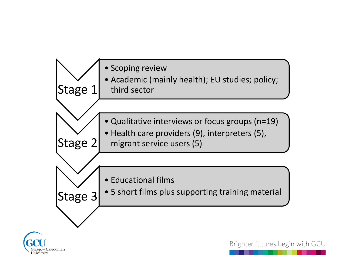![](_page_13_Figure_0.jpeg)

![](_page_13_Picture_1.jpeg)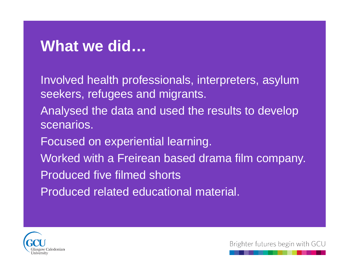#### **What we did…**

Involved health professionals, interpreters, asylum seekers, refugees and migrants.

- Analysed the data and used the results to develop scenarios.
- Focused on experiential learning.
- Worked with a Freirean based drama film company.
- Produced five filmed shorts
- Produced related educational material.

![](_page_14_Picture_7.jpeg)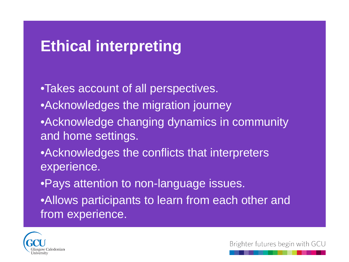#### **Ethical interpreting**

•Takes account of all perspectives.

- •Acknowledges the migration journey
- •Acknowledge changing dynamics in community and home settings.
- •Acknowledges the conflicts that interpreters experience.
- •Pays attention to non-language issues.
- •Allows participants to learn from each other and from experience.

![](_page_15_Picture_7.jpeg)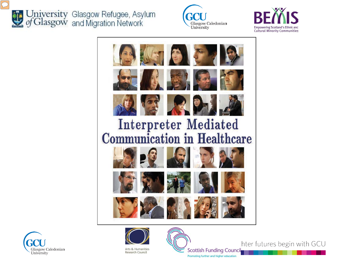![](_page_16_Picture_0.jpeg)

University Glasgow Refugee, Asylum<br>of Glasgow and Migration Network

![](_page_16_Picture_2.jpeg)

![](_page_16_Picture_3.jpeg)

![](_page_16_Picture_4.jpeg)

![](_page_16_Picture_5.jpeg)

![](_page_16_Picture_6.jpeg)

**Scottish Funding Council** Promoting further and higher education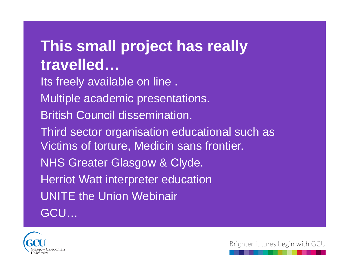## **This small project has really travelled…**

Its freely available on line . Multiple academic presentations. British Council dissemination. Third sector organisation educational such as Victims of torture, Medicin sans frontier. NHS Greater Glasgow & Clyde. Herriot Watt interpreter education UNITE the Union Webinair GCU…

![](_page_17_Picture_2.jpeg)